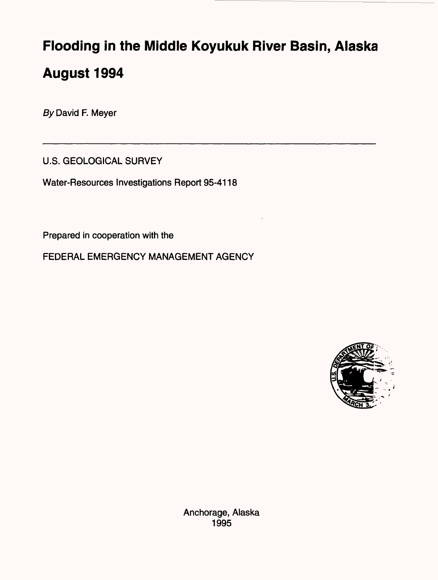# **Flooding in the Middle Koyukuk River Basin, Alaska August 1994**

By David F. Meyer

U.S. GEOLOGICAL SURVEY

Water-Resources Investigations Report 95-4118

Prepared in cooperation with the

FEDERAL EMERGENCY MANAGEMENT AGENCY



Anchorage, Alaska 1995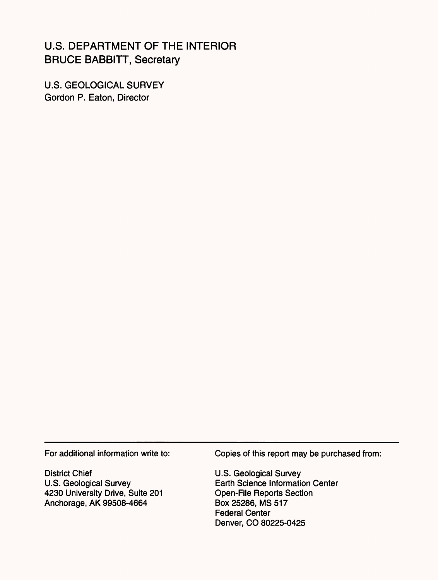## U.S. DEPARTMENT OF THE INTERIOR BRUCE BABBITT, Secretary

U.S. GEOLOGICAL SURVEY Gordon P. Eaton, Director

For additional information write to:

District Chief U.S. Geological Survey 4230 University Drive, Suite 201 Anchorage, AK 99508-4664

Copies of this report may be purchased from:

U.S. Geological Survey Earth Science Information Center Open-File Reports Section Box 25286, MS 517 Federal Center Denver, CO 80225-0425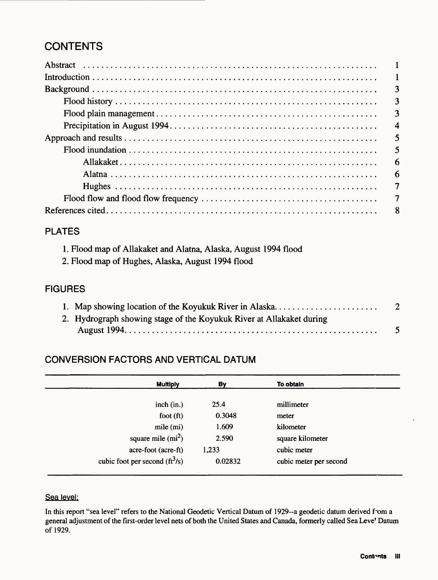# **CONTENTS**

| $\blacksquare$ |
|----------------|
| $\overline{3}$ |
| 3              |
| 3              |
| $\overline{4}$ |
|                |
| 5              |
| 6              |
| 6              |
| $\overline{7}$ |
| $\overline{7}$ |
|                |

#### PLATES

| 1. Flood map of Allakaket and Alatna, Alaska, August 1994 flood |  |
|-----------------------------------------------------------------|--|
|-----------------------------------------------------------------|--|

2. Flood map of Hughes, Alaska, August 1994 flood

#### FIGURES

| 1. Map showing location of the Koyukuk River in Alaska               | $\overline{2}$ |
|----------------------------------------------------------------------|----------------|
| 2. Hydrograph showing stage of the Koyukuk River at Allakaket during |                |
|                                                                      |                |

### CONVERSION FACTORS AND VERTICAL DATUM

| <b>Multiply</b>                  | By      | To obtain              |
|----------------------------------|---------|------------------------|
|                                  |         |                        |
| inch (in.)                       | 25.4    | millimeter             |
| foot $(ft)$                      | 0.3048  | meter                  |
| mile (mi)                        | 1.609   | kilometer              |
| square mile $(mi^2)$             | 2.590   | square kilometer       |
| acre-foot (acre-ft)              | 1,233   | cubic meter            |
| cubic foot per second $(ft^3/s)$ | 0.02832 | cubic meter per second |

#### Sea level:

In this report "sea level" refers to the National Geodetic Vertical Datum of 1929--a geodetic datum derived fom a general adjustment of the first-order level nets of both the United States and Canada, formerly called Sea Leve<sup>t</sup> Datum of 1929.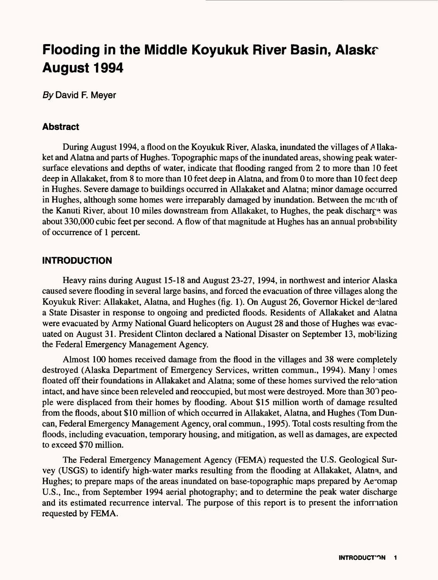# **Flooding in the Middle Koyukuk River Basin, Alaskr August 1994**

By David F. Meyer

#### **Abstract**

During August 1994, a flood on the Koyukuk River, Alaska, inundated the villages of *A* llakaket and Alatna and parts of Hughes. Topographic maps of the inundated areas, showing peak watersurface elevations and depths of water, indicate that flooding ranged from 2 to more than 10 feet deep in Allakaket, from 8 to more than 10 feet deep in Alatna, and from 0 to more than 10 feet deep in Hughes. Severe damage to buildings occurred in Allakaket and Alatna; minor damage occurred in Hughes, although some homes were irreparably damaged by inundation. Between the mouth of the Kanuti River, about 10 miles downstream from Allakaket, to Hughes, the peak dischar£*\*.* was about 330,000 cubic feet per second. A flow of that magnitude at Hughes has an annual probability of occurrence of 1 percent.

#### **INTRODUCTION**

Heavy rains during August 15-18 and August 23-27, 1994, in northwest and interior Alaska caused severe flooding in several large basins, and forced the evacuation of three villages along the Koyukuk River: Allakaket, Alatna, and Hughes (fig. 1). On August 26, Governor Hickel dealared a State Disaster in response to ongoing and predicted floods. Residents of Allakaket and Alatna were evacuated by Army National Guard helicopters on August 28 and those of Hughes was evacuated on August 31. President Clinton declared a National Disaster on September 13, mobilizing the Federal Emergency Management Agency.

Almost 100 homes received damage from the flood in the villages and 38 were completely destroyed (Alaska Department of Emergency Services, written commun., 1994). Many I'omes floated off their foundations in Allakaket and Alatna; some of these homes survived the relocation intact, and have since been releveled and reoccupied, but most were destroyed. More than 307 people were displaced from their homes by flooding. About \$15 million worth of damage resulted from the floods, about \$10 million of which occurred in Allakaket, Alatna, and Hughes (Tom Duncan, Federal Emergency Management Agency, oral commun., 1995). Total costs resulting from the floods, including evacuation, temporary housing, and mitigation, as well as damages, are expected to exceed \$70 million.

The Federal Emergency Management Agency (FEMA) requested the U.S. Geological Survey (USGS) to identify high-water marks resulting from the flooding at Allakaket, Alatna, and Hughes; to prepare maps of the areas inundated on base-topographic maps prepared by Ae~omap U.S., Inc., from September 1994 aerial photography; and to determine the peak water discharge and its estimated recurrence interval. The purpose of this report is to present the information requested by FEMA.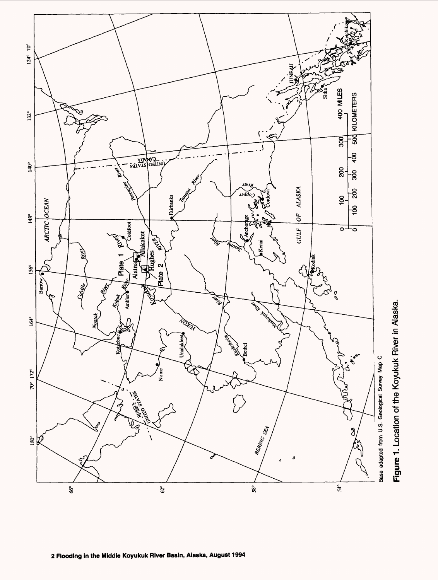

Figure 1. Location of the Koyukuk River in Alaska.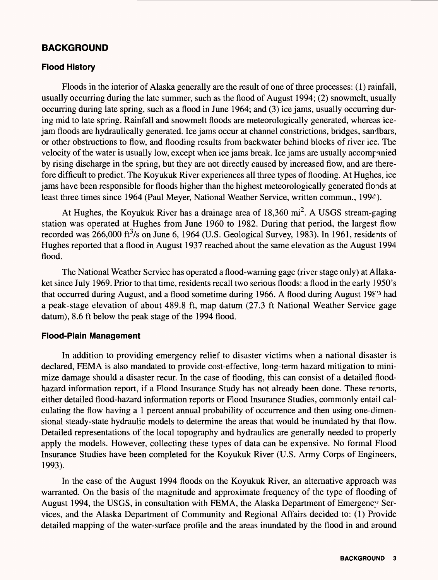#### **BACKGROUND**

#### **Flood History**

Floods in the interior of Alaska generally are the result of one of three processes: (1) rainfall, usually occurring during the late summer, such as the flood of August 1994; (2) snowmelt, usually occurring during late spring, such as a flood in June 1964; and (3) ice jams, usually occurring during mid to late spring. Rainfall and snowmelt floods are meteorologically generated, whereas icejam floods are hydraulically generated. Ice jams occur at channel constrictions, bridges, sandbars, or other obstructions to flow, and flooding results from backwater behind blocks of river ice. The velocity of the water is usually low, except when ice jams break. Ice jams are usually accompanied by rising discharge in the spring, but they are not directly caused by increased flow, and are therefore difficult to predict. The Koyukuk River experiences all three types of flooding. At Hughes, ice jams have been responsible for floods higher than the highest meteorologically generated floods at least three times since 1964 (Paul Meyer, National Weather Service, written commun., 1994).

At Hughes, the Koyukuk River has a drainage area of  $18,360$  mi<sup>2</sup>. A USGS stream-gaging station was operated at Hughes from June 1960 to 1982. During that period, the largest flow recorded was  $266,000$  ft<sup>3</sup>/s on June 6, 1964 (U.S. Geological Survey, 1983). In 1961, residents of Hughes reported that a flood in August 1937 reached about the same elevation as the August 1994 flood.

The National Weather Service has operated a flood-warning gage (river stage only) at Allakaket since July 1969. Prior to that time, residents recall two serious floods: a flood in the early 1950's that occurred during August, and a flood sometime during 1966. A flood during August 19 $\Sigma$ <sup>3</sup> had a peak-stage elevation of about 489.8 ft, map datum (27.3 ft National Weather Service gage datum), 8.6 ft below the peak stage of the 1994 flood.

#### **Flood-Plain Management**

In addition to providing emergency relief to disaster victims when a national disaster is declared, FEMA is also mandated to provide cost-effective, long-term hazard mitigation to minimize damage should a disaster recur. In the case of flooding, this can consist of a detailed floodhazard information report, if a Flood Insurance Study has not already been done. These reports, either detailed flood-hazard information reports or Flood Insurance Studies, commonly entail calculating the flow having a 1 percent annual probability of occurrence and then using one-dimensional steady-state hydraulic models to determine the areas that would be inundated by that flow. Detailed representations of the local topography and hydraulics are generally needed to properly apply the models. However, collecting these types of data can be expensive. No formal Flood Insurance Studies have been completed for the Koyukuk River (U.S. Army Corps of Engineers, 1993).

In the case of the August 1994 floods on the Koyukuk River, an alternative approach was warranted. On the basis of the magnitude and approximate frequency of the type of flooding of August 1994, the USGS, in consultation with FEMA, the Alaska Department of Emergency Services, and the Alaska Department of Community and Regional Affairs decided to: (1) Provide detailed mapping of the water-surface profile and the areas inundated by the flood in and around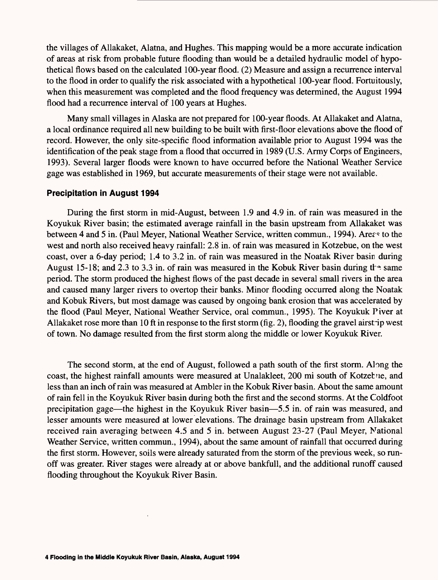the villages of Allakaket, Alatna, and Hughes. This mapping would be a more accurate indication of areas at risk from probable future flooding than would be a detailed hydraulic model of hypothetical flows based on the calculated 100-year flood. (2) Measure and assign a recurrence interval to the flood in order to qualify the risk associated with a hypothetical 100-year flood. Fortuitously, when this measurement was completed and the flood frequency was determined, the August 1994 flood had a recurrence interval of 100 years at Hughes.

Many small villages in Alaska are not prepared for 100-year floods. At Allakaket and Alatna, a local ordinance required all new building to be built with first-floor elevations above the flood of record. However, the only site-specific flood information available prior to August 1994 was the identification of the peak stage from a flood that occurred in 1989 (U.S. Army Corps of Engineers, 1993). Several larger floods were known to have occurred before the National Weather Service gage was established in 1969, but accurate measurements of their stage were not available.

#### **Precipitation in August 1994**

During the first storm in mid-August, between 1.9 and 4.9 in. of rain was measured in the Koyukuk River basin; the estimated average rainfall in the basin upstream from Allakaket was between 4 and 5 in. (Paul Meyer, National Weather Service, written commun., 1994). Arer^ to the west and north also received heavy rainfall: 2.8 in. of rain was measured in Kotzebue, on the west coast, over a 6-day period; 1.4 to 3.2 in. of rain was measured in the Noatak River basin during August 15-18; and 2.3 to 3.3 in. of rain was measured in the Kobuk River basin during the same period. The storm produced the highest flows of the past decade in several small rivers in the area and caused many larger rivers to overtop their banks. Minor flooding occurred along the Noatak and Kobuk Rivers, but most damage was caused by ongoing bank erosion that was accelerated by the flood (Paul Meyer, National Weather Service, oral commun., 1995). The Koyukuk Piver at Allakaket rose more than 10 ft in response to the first storm (fig. 2), flooding the gravel airstrip west of town. No damage resulted from the first storm along the middle or lower Koyukuk River.

The second storm, at the end of August, followed a path south of the first storm. Along the coast, the highest rainfall amounts were measured at Unalakleet, 200 mi south of Kotzebue, and less than an inch of rain was measured at Ambler in the Kobuk River basin. About the same amount of rain fell in the Koyukuk River basin during both the first and the second storms. At the Coldfoot precipitation gage—the highest in the Koyukuk River basin—5.5 in. of rain was measured, and lesser amounts were measured at lower elevations. The drainage basin upstream from Allakaket received rain averaging between 4.5 and 5 in. between August 23-27 (Paul Meyer, National Weather Service, written commun., 1994), about the same amount of rainfall that occurred during the first storm. However, soils were already saturated from the storm of the previous week, so runoff was greater. River stages were already at or above bankfull, and the additional runoff caused flooding throughout the Koyukuk River Basin.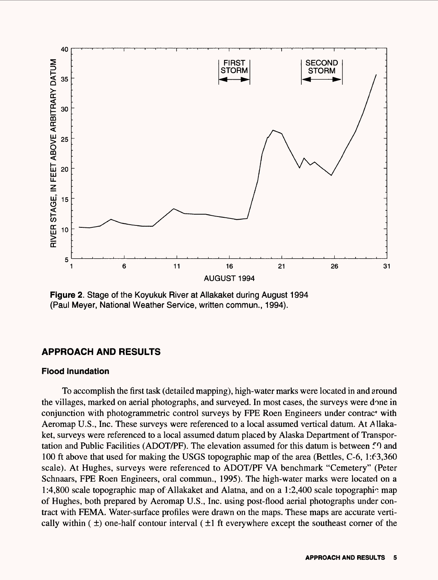

**Figure 2.** Stage of the Koyukuk River at Allakaket during August 1994 (Paul Meyer, National Weather Service, written commun., 1994).

#### **APPROACH AND RESULTS**

#### **Flood Inundation**

To accomplish the first task (detailed mapping), high-water marks were located in and around the villages, marked on aerial photographs, and surveyed. In most cases, the surveys were done in conjunction with photogrammetric control surveys by FPE Roen Engineers under contrac\* with Aeromap U.S., Inc. These surveys were referenced to a local assumed vertical datum. At Allakaket, surveys were referenced to a local assumed datum placed by Alaska Department of Transportation and Public Facilities (ADOT/PF). The elevation assumed for this datum is between 50 and 100 ft above that used for making the USGS topographic map of the area (Bettles, C-6, 1:63,360 scale). At Hughes, surveys were referenced to ADOT/PF VA benchmark "Cemetery" (Peter Schnaars, FPE Roen Engineers, oral commun., 1995). The high-water marks were located on a 1:4,800 scale topographic map of Allakaket and Alatna, and on a 1:2,400 scale topographic map of Hughes, both prepared by Aeromap U.S., Inc. using post-flood aerial photographs under contract with FEMA. Water-surface profiles were drawn on the maps. These maps are accurate vertically within  $(\pm)$  one-half contour interval  $(\pm)$  ft everywhere except the southeast corner of the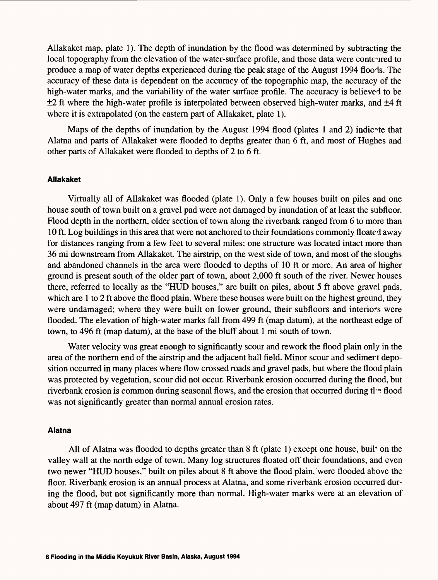Allakaket map, plate 1). The depth of inundation by the flood was determined by subtracting the local topography from the elevation of the water-surface profile, and those data were contoured to produce a map of water depths experienced during the peak stage of the August 1994 floods. The accuracy of these data is dependent on the accuracy of the topographic map, the accuracy of the high-water marks, and the variability of the water surface profile. The accuracy is believed to be  $\pm 2$  ft where the high-water profile is interpolated between observed high-water marks, and  $\pm 4$  ft where it is extrapolated (on the eastern part of Allakaket, plate 1).

Maps of the depths of inundation by the August 1994 flood (plates 1 and 2) indice that Alatna and parts of Allakaket were flooded to depths greater than 6 ft, and most of Hughes and other parts of Allakaket were flooded to depths of 2 to 6 ft.

#### **Allakaket**

Virtually all of Allakaket was flooded (plate 1). Only a few houses built on piles and one house south of town built on a gravel pad were not damaged by inundation of at least the subfloor. Flood depth in the northern, older section of town along the riverbank ranged from 6 to more than 10 ft. Log buildings in this area that were not anchored to their foundations commonly floated away for distances ranging from a few feet to several miles: one structure was located intact more than 36 mi downstream from Allakaket. The airstrip, on the west side of town, and most of the sloughs and abandoned channels in the area were flooded to depths of 10 ft or more. An area of higher ground is present south of the older part of town, about 2,000 ft south of the river. Newer houses there, referred to locally as the "HUD houses," are built on piles, about 5 ft above gravel pads, which are 1 to 2 ft above the flood plain. Where these houses were built on the highest ground, they were undamaged; where they were built on lower ground, their subfloors and interiors were flooded. The elevation of high-water marks fall from 499 ft (map datum), at the northeast edge of town, to 496 ft (map datum), at the base of the bluff about 1 mi south of town.

Water velocity was great enough to significantly scour and rework the flood plain only in the area of the northern end of the airstrip and the adjacent ball field. Minor scour and sedimert deposition occurred in many places where flow crossed roads and gravel pads, but where the flood plain was protected by vegetation, scour did not occur. Riverbank erosion occurred during the flood, but riverbank erosion is common during seasonal flows, and the erosion that occurred during  $t \geq 0$  flood was not significantly greater than normal annual erosion rates.

#### **Alatna**

All of Alatna was flooded to depths greater than 8 ft (plate 1) except one house, buil\* on the valley wall at the north edge of town. Many log structures floated off their foundations, and even two newer "HUD houses," built on piles about 8 ft above the flood plain, were flooded above the floor. Riverbank erosion is an annual process at Alatna, and some riverbank erosion occurred during the flood, but not significantly more than normal. High-water marks were at an elevation of about 497 ft (map datum) in Alatna.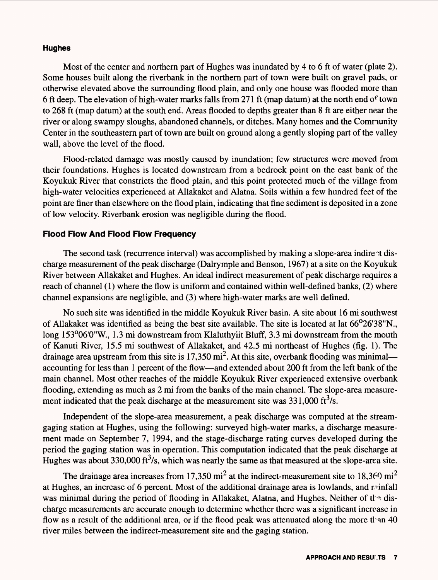#### **Hughes**

Most of the center and northern part of Hughes was inundated by 4 to 6 ft of water (plate 2). Some houses built along the riverbank in the northern part of town were built on gravel pads, or otherwise elevated above the surrounding flood plain, and only one house was flooded more than 6 ft deep. The elevation of high-water marks falls from 271 ft (map datum) at the north end of town to 268 ft (map datum) at the south end. Areas flooded to depths greater than 8 ft are either near the river or along swampy sloughs, abandoned channels, or ditches. Many homes and the Community Center in the southeastern part of town are built on ground along a gently sloping part of the valley wall, above the level of the flood.

Flood-related damage was mostly caused by inundation; few structures were moved from their foundations. Hughes is located downstream from a bedrock point on the east bank of the Koyukuk River that constricts the flood plain, and this point protected much of the village from high-water velocities experienced at Allakaket and Alatna. Soils within a few hundred feet of the point are finer than elsewhere on the flood plain, indicating that fine sediment is deposited in a zone of low velocity. Riverbank erosion was negligible during the flood.

#### **Flood Flow And Flood Flow Frequency**

The second task (recurrence interval) was accomplished by making a slope-area indirect discharge measurement of the peak discharge (Dalrymple and Benson, 1967) at a site on the Koyukuk River between Allakaket and Hughes. An ideal indirect measurement of peak discharge requires a reach of channel (1) where the flow is uniform and contained within well-defined banks, (2) where channel expansions are negligible, and (3) where high-water marks are well defined.

No such site was identified in the middle Koyukuk River basin. A site about 16 mi southwest of Allakaket was identified as being the best site available. The site is located at lat 66°26'38"N., long 153°06'0"W., 1.3 mi downstream from Klaluthyiit Bluff, 3.3 mi downstream from the mouth of Kanuti River, 15.5 mi southwest of Allakaket, and 42.5 mi northeast of Hughes (fig. 1). The drainage area upstream from this site is 17,350 mi<sup>2</sup>. At this site, overbank flooding was minimal accounting for less than 1 percent of the flow—and extended about 200 ft from the left bank of the main channel. Most other reaches of the middle Koyukuk River experienced extensive overbank flooding, extending as much as 2 mi from the banks of the main channel. The slope-area measurement indicated that the peak discharge at the measurement site was  $331,000 \text{ ft}^3/\text{s}$ .

Independent of the slope-area measurement, a peak discharge was computed at the streamgaging station at Hughes, using the following: surveyed high-water marks, a discharge measurement made on September 7, 1994, and the stage-discharge rating curves developed during the period the gaging station was in operation. This computation indicated that the peak discharge at Hughes was about 330,000 ft $3/$ s, which was nearly the same as that measured at the slope-area site.

The drainage area increases from 17,350 mi<sup>2</sup> at the indirect-measurement site to 18,360 mi<sup>2</sup> at Hughes, an increase of 6 percent. Most of the additional drainage area is lowlands, and rainfall was minimal during the period of flooding in Allakaket, Alatna, and Hughes. Neither of the discharge measurements are accurate enough to determine whether there was a significant increase in flow as a result of the additional area, or if the flood peak was attenuated along the more than 40 river miles between the indirect-measurement site and the gaging station.